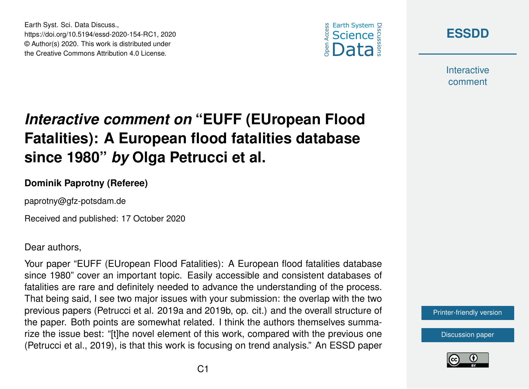





**Interactive** comment

# *Interactive comment on* **"EUFF (EUropean Flood Fatalities): A European flood fatalities database since 1980"** *by* **Olga Petrucci et al.**

#### **Dominik Paprotny (Referee)**

paprotny@gfz-potsdam.de

Received and published: 17 October 2020

Dear authors,

Your paper "EUFF (EUropean Flood Fatalities): A European flood fatalities database since 1980" cover an important topic. Easily accessible and consistent databases of fatalities are rare and definitely needed to advance the understanding of the process. That being said, I see two major issues with your submission: the overlap with the two previous papers (Petrucci et al. 2019a and 2019b, op. cit.) and the overall structure of the paper. Both points are somewhat related. I think the authors themselves summarize the issue best: "[t]he novel element of this work, compared with the previous one (Petrucci et al., 2019), is that this work is focusing on trend analysis." An ESSD paper

[Printer-friendly version](https://essd.copernicus.org/preprints/essd-2020-154/essd-2020-154-RC1-print.pdf)

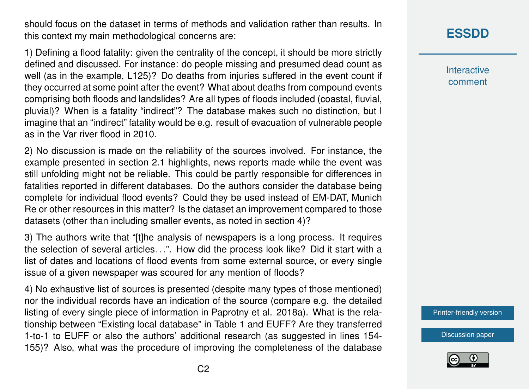should focus on the dataset in terms of methods and validation rather than results. In this context my main methodological concerns are:

1) Defining a flood fatality: given the centrality of the concept, it should be more strictly defined and discussed. For instance: do people missing and presumed dead count as well (as in the example, L125)? Do deaths from injuries suffered in the event count if they occurred at some point after the event? What about deaths from compound events comprising both floods and landslides? Are all types of floods included (coastal, fluvial, pluvial)? When is a fatality "indirect"? The database makes such no distinction, but I imagine that an "indirect" fatality would be e.g. result of evacuation of vulnerable people as in the Var river flood in 2010.

2) No discussion is made on the reliability of the sources involved. For instance, the example presented in section 2.1 highlights, news reports made while the event was still unfolding might not be reliable. This could be partly responsible for differences in fatalities reported in different databases. Do the authors consider the database being complete for individual flood events? Could they be used instead of EM-DAT, Munich Re or other resources in this matter? Is the dataset an improvement compared to those datasets (other than including smaller events, as noted in section 4)?

3) The authors write that "[t]he analysis of newspapers is a long process. It requires the selection of several articles. . .". How did the process look like? Did it start with a list of dates and locations of flood events from some external source, or every single issue of a given newspaper was scoured for any mention of floods?

4) No exhaustive list of sources is presented (despite many types of those mentioned) nor the individual records have an indication of the source (compare e.g. the detailed listing of every single piece of information in Paprotny et al. 2018a). What is the relationship between "Existing local database" in Table 1 and EUFF? Are they transferred 1-to-1 to EUFF or also the authors' additional research (as suggested in lines 154- 155)? Also, what was the procedure of improving the completeness of the database

# **[ESSDD](https://essd.copernicus.org/preprints/)**

**Interactive** comment

[Printer-friendly version](https://essd.copernicus.org/preprints/essd-2020-154/essd-2020-154-RC1-print.pdf)

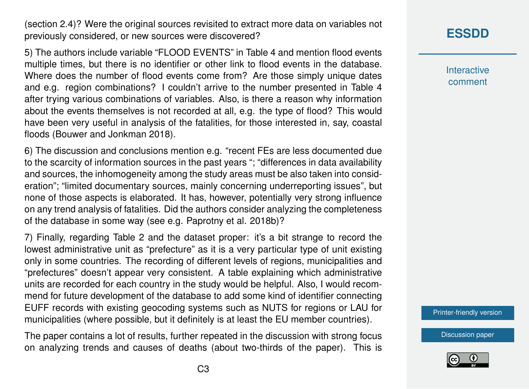(section 2.4)? Were the original sources revisited to extract more data on variables not previously considered, or new sources were discovered?

5) The authors include variable "FLOOD EVENTS" in Table 4 and mention flood events multiple times, but there is no identifier or other link to flood events in the database. Where does the number of flood events come from? Are those simply unique dates and e.g. region combinations? I couldn't arrive to the number presented in Table 4 after trying various combinations of variables. Also, is there a reason why information about the events themselves is not recorded at all, e.g. the type of flood? This would have been very useful in analysis of the fatalities, for those interested in, say, coastal floods (Bouwer and Jonkman 2018).

6) The discussion and conclusions mention e.g. "recent FEs are less documented due to the scarcity of information sources in the past years "; "differences in data availability and sources, the inhomogeneity among the study areas must be also taken into consideration"; "limited documentary sources, mainly concerning underreporting issues", but none of those aspects is elaborated. It has, however, potentially very strong influence on any trend analysis of fatalities. Did the authors consider analyzing the completeness of the database in some way (see e.g. Paprotny et al. 2018b)?

7) Finally, regarding Table 2 and the dataset proper: it's a bit strange to record the lowest administrative unit as "prefecture" as it is a very particular type of unit existing only in some countries. The recording of different levels of regions, municipalities and "prefectures" doesn't appear very consistent. A table explaining which administrative units are recorded for each country in the study would be helpful. Also, I would recommend for future development of the database to add some kind of identifier connecting EUFF records with existing geocoding systems such as NUTS for regions or LAU for municipalities (where possible, but it definitely is at least the EU member countries).

The paper contains a lot of results, further repeated in the discussion with strong focus on analyzing trends and causes of deaths (about two-thirds of the paper). This is

## **[ESSDD](https://essd.copernicus.org/preprints/)**

**Interactive** comment

[Printer-friendly version](https://essd.copernicus.org/preprints/essd-2020-154/essd-2020-154-RC1-print.pdf)

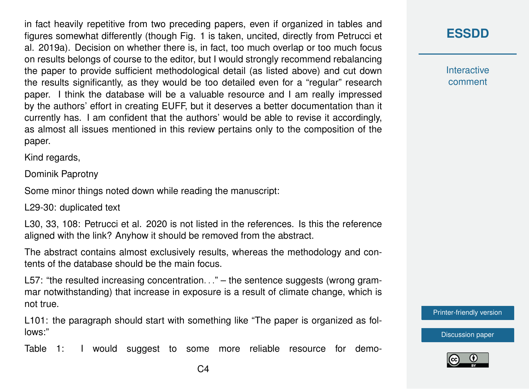in fact heavily repetitive from two preceding papers, even if organized in tables and figures somewhat differently (though Fig. 1 is taken, uncited, directly from Petrucci et al. 2019a). Decision on whether there is, in fact, too much overlap or too much focus on results belongs of course to the editor, but I would strongly recommend rebalancing the paper to provide sufficient methodological detail (as listed above) and cut down the results significantly, as they would be too detailed even for a "regular" research paper. I think the database will be a valuable resource and I am really impressed by the authors' effort in creating EUFF, but it deserves a better documentation than it currently has. I am confident that the authors' would be able to revise it accordingly, as almost all issues mentioned in this review pertains only to the composition of the paper.

Kind regards,

Dominik Paprotny

Some minor things noted down while reading the manuscript:

L29-30: duplicated text

L30, 33, 108: Petrucci et al. 2020 is not listed in the references. Is this the reference aligned with the link? Anyhow it should be removed from the abstract.

The abstract contains almost exclusively results, whereas the methodology and contents of the database should be the main focus.

L57: "the resulted increasing concentration..." – the sentence suggests (wrong grammar notwithstanding) that increase in exposure is a result of climate change, which is not true.

L101: the paragraph should start with something like "The paper is organized as follows:"

Table 1: I would suggest to some more reliable resource for demo-

### **[ESSDD](https://essd.copernicus.org/preprints/)**

**Interactive** comment

[Printer-friendly version](https://essd.copernicus.org/preprints/essd-2020-154/essd-2020-154-RC1-print.pdf)

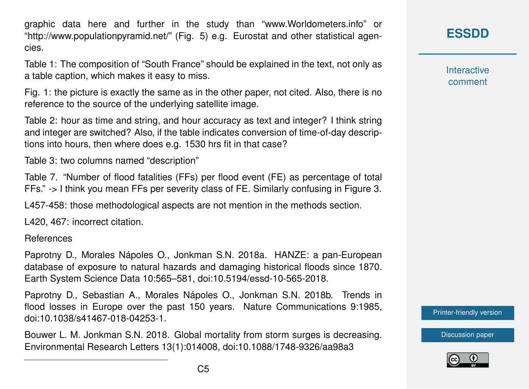graphic data here and further in the study than "www.Worldometers.info" or "http://www.populationpyramid.net/" (Fig. 5) e.g. Eurostat and other statistical agencies.

Table 1: The composition of "South France" should be explained in the text, not only as a table caption, which makes it easy to miss.

Fig. 1: the picture is exactly the same as in the other paper, not cited. Also, there is no reference to the source of the underlying satellite image.

Table 2: hour as time and string, and hour accuracy as text and integer? I think string and integer are switched? Also, if the table indicates conversion of time-of-day descriptions into hours, then where does e.g. 1530 hrs fit in that case?

Table 3: two columns named "description"

Table 7. "Number of flood fatalities (FFs) per flood event (FE) as percentage of total FFs." -> I think you mean FFs per severity class of FE. Similarly confusing in Figure 3.

L457-458: those methodological aspects are not mention in the methods section.

L420, 467: incorrect citation.

References

Paprotny D., Morales Nápoles O., Jonkman S.N. 2018a. HANZE: a pan-European database of exposure to natural hazards and damaging historical floods since 1870. Earth System Science Data 10:565–581, doi:10.5194/essd-10-565-2018.

Paprotny D., Sebastian A., Morales Nápoles O., Jonkman S.N. 2018b. Trends in flood losses in Europe over the past 150 years. Nature Communications 9:1985, doi:10.1038/s41467-018-04253-1.

Bouwer L. M. Jonkman S.N. 2018. Global mortality from storm surges is decreasing. Environmental Research Letters 13(1):014008, doi:10.1088/1748-9326/aa98a3

**[ESSDD](https://essd.copernicus.org/preprints/)**

**Interactive** comment

[Printer-friendly version](https://essd.copernicus.org/preprints/essd-2020-154/essd-2020-154-RC1-print.pdf)